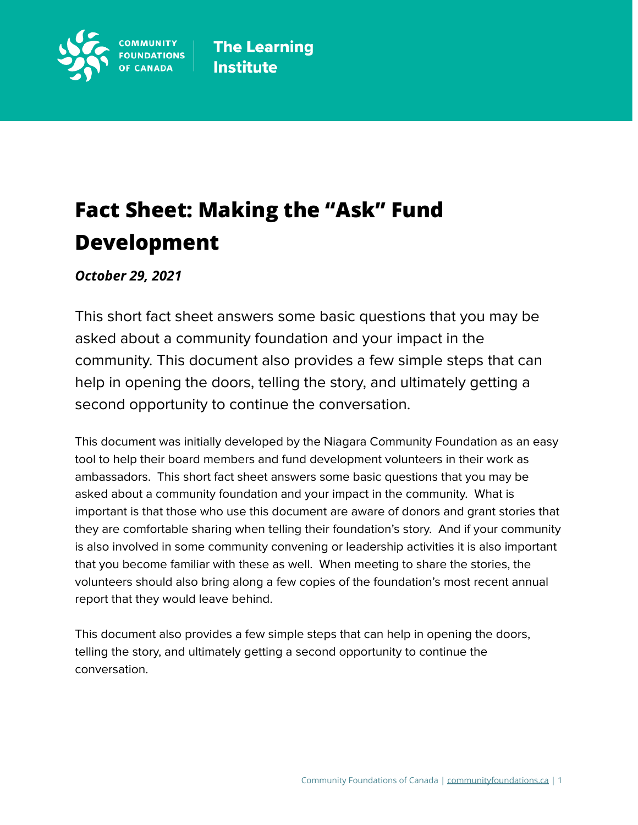

# **Fact Sheet: Making the "Ask" Fund Development**

*October 29, 2021*

This short fact sheet answers some basic questions that you may be asked about a community foundation and your impact in the community. This document also provides a few simple steps that can help in opening the doors, telling the story, and ultimately getting a second opportunity to continue the conversation.

This document was initially developed by the Niagara Community Foundation as an easy tool to help their board members and fund development volunteers in their work as ambassadors. This short fact sheet answers some basic questions that you may be asked about a community foundation and your impact in the community. What is important is that those who use this document are aware of donors and grant stories that they are comfortable sharing when telling their foundation's story. And if your community is also involved in some community convening or leadership activities it is also important that you become familiar with these as well. When meeting to share the stories, the volunteers should also bring along a few copies of the foundation's most recent annual report that they would leave behind.

This document also provides a few simple steps that can help in opening the doors, telling the story, and ultimately getting a second opportunity to continue the conversation.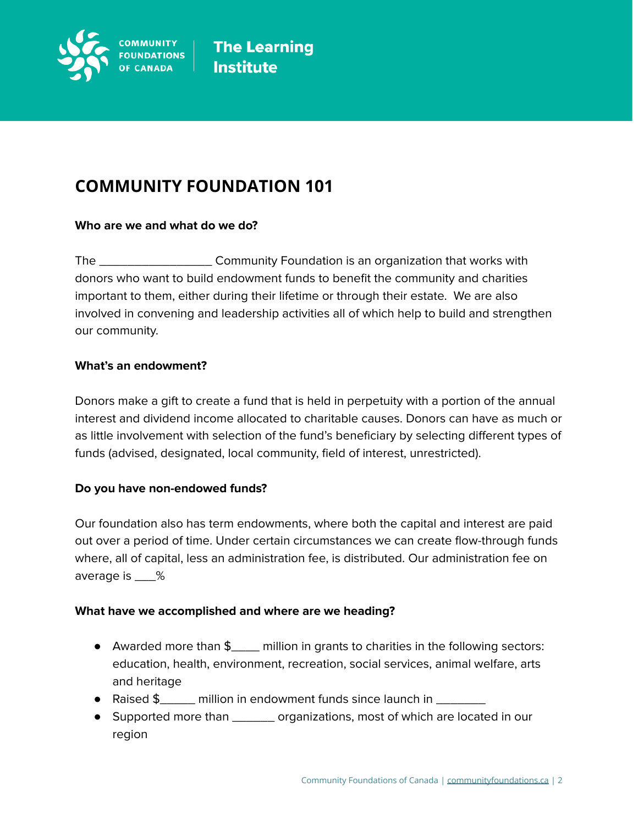

## **COMMUNITY FOUNDATION 101**

### **Who are we and what do we do?**

The \_\_\_\_\_\_\_\_\_\_\_\_\_\_\_\_ Community Foundation is an organization that works with donors who want to build endowment funds to benefit the community and charities important to them, either during their lifetime or through their estate. We are also involved in convening and leadership activities all of which help to build and strengthen our community.

### **What's an endowment?**

Donors make a gift to create a fund that is held in perpetuity with a portion of the annual interest and dividend income allocated to charitable causes. Donors can have as much or as little involvement with selection of the fund's beneficiary by selecting different types of funds (advised, designated, local community, field of interest, unrestricted).

### **Do you have non-endowed funds?**

Our foundation also has term endowments, where both the capital and interest are paid out over a period of time. Under certain circumstances we can create flow-through funds where, all of capital, less an administration fee, is distributed. Our administration fee on average is \_\_\_%

### **What have we accomplished and where are we heading?**

- Awarded more than \$\_\_\_\_ million in grants to charities in the following sectors: education, health, environment, recreation, social services, animal welfare, arts and heritage
- Raised \$\_\_\_\_\_ million in endowment funds since launch in \_\_\_\_\_\_\_
- Supported more than \_\_\_\_\_\_\_ organizations, most of which are located in our region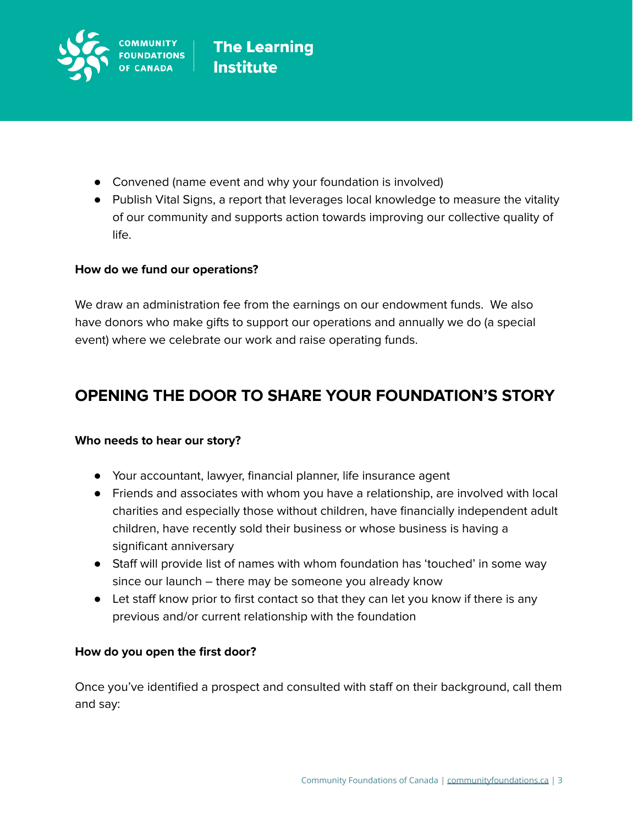

- Convened (name event and why your foundation is involved)
- Publish Vital Signs, a report that leverages local knowledge to measure the vitality of our community and supports action towards improving our collective quality of life.

### **How do we fund our operations?**

We draw an administration fee from the earnings on our endowment funds. We also have donors who make gifts to support our operations and annually we do (a special event) where we celebrate our work and raise operating funds.

### **OPENING THE DOOR TO SHARE YOUR FOUNDATION'S STORY**

### **Who needs to hear our story?**

- Your accountant, lawyer, financial planner, life insurance agent
- Friends and associates with whom you have a relationship, are involved with local charities and especially those without children, have financially independent adult children, have recently sold their business or whose business is having a significant anniversary
- Staff will provide list of names with whom foundation has 'touched' in some way since our launch – there may be someone you already know
- Let staff know prior to first contact so that they can let you know if there is any previous and/or current relationship with the foundation

### **How do you open the first door?**

Once you've identified a prospect and consulted with staff on their background, call them and say: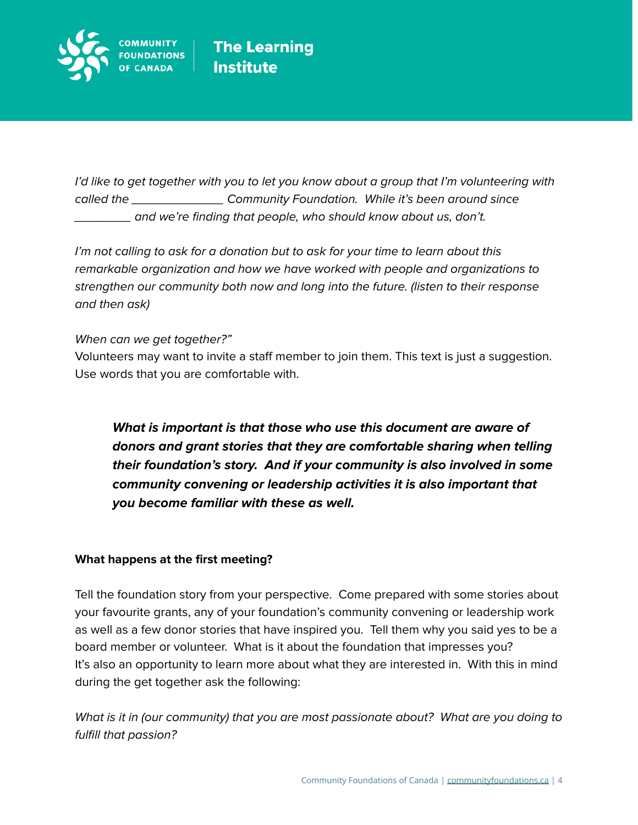

I'd like to get together with you to let you know about a group that I'm volunteering with called the \_\_\_\_\_\_\_\_\_\_\_\_\_\_\_\_\_\_\_\_ Community Foundation. While it's been around since \_\_\_\_\_\_\_\_ and we're finding that people, who should know about us, don't.

I'm not calling to ask for a donation but to ask for your time to learn about this remarkable organization and how we have worked with people and organizations to strengthen our community both now and long into the future. (listen to their response and then ask)

When can we get together?"

Volunteers may want to invite a staff member to join them. This text is just a suggestion. Use words that you are comfortable with.

**What is important is that those who use this document are aware of donors and grant stories that they are comfortable sharing when telling their foundation's story. And if your community is also involved in some community convening or leadership activities it is also important that you become familiar with these as well.**

### **What happens at the first meeting?**

Tell the foundation story from your perspective. Come prepared with some stories about your favourite grants, any of your foundation's community convening or leadership work as well as a few donor stories that have inspired you. Tell them why you said yes to be a board member or volunteer. What is it about the foundation that impresses you? It's also an opportunity to learn more about what they are interested in. With this in mind during the get together ask the following:

What is it in (our community) that you are most passionate about? What are you doing to fulfill that passion?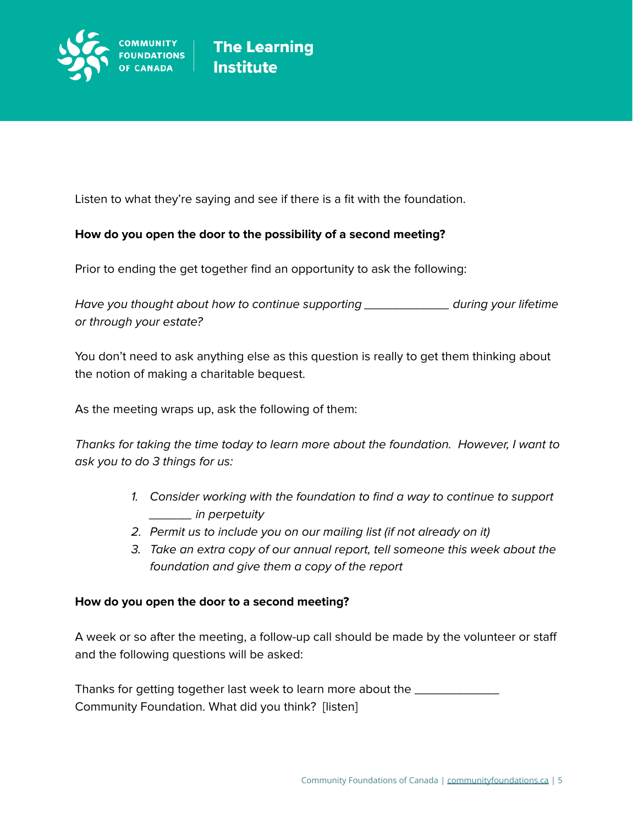

Listen to what they're saying and see if there is a fit with the foundation.

### **How do you open the door to the possibility of a second meeting?**

Prior to ending the get together find an opportunity to ask the following:

Have you thought about how to continue supporting \_\_\_\_\_\_\_\_\_\_\_\_ during your lifetime or through your estate?

You don't need to ask anything else as this question is really to get them thinking about the notion of making a charitable bequest.

As the meeting wraps up, ask the following of them:

Thanks for taking the time today to learn more about the foundation. However, I want to ask you to do 3 things for us:

- 1. Consider working with the foundation to find a way to continue to support \_\_\_\_\_\_ in perpetuity
- 2. Permit us to include you on our mailing list (if not already on it)
- 3. Take an extra copy of our annual report, tell someone this week about the foundation and give them a copy of the report

### **How do you open the door to a second meeting?**

A week or so after the meeting, a follow-up call should be made by the volunteer or staff and the following questions will be asked:

Thanks for getting together last week to learn more about the Community Foundation. What did you think? [listen]